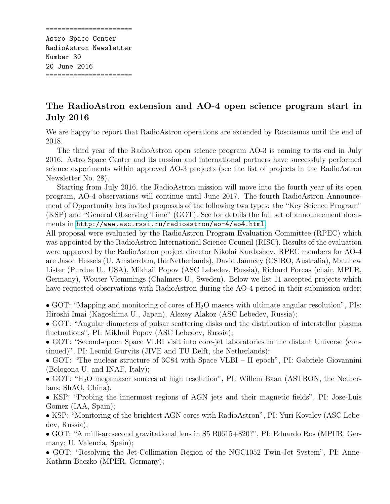====================== Astro Space Center RadioAstron Newsletter Number 30 20 June 2016 ======================

## The RadioAstron extension and AO-4 open science program start in July 2016

We are happy to report that RadioAstron operations are extended by Roscosmos until the end of 2018.

The third year of the RadioAstron open science program AO-3 is coming to its end in July 2016. Astro Space Center and its russian and international partners have successfuly performed science experiments within approved AO-3 projects (see the list of projects in the RadioAstron Newsletter No. 28).

Starting from July 2016, the RadioAstron mission will move into the fourth year of its open program, AO-4 observations will continue until June 2017. The fourth RadioAstron Announcement of Opportunity has invited proposals of the following two types: the "Key Science Program" (KSP) and "General Observing Time" (GOT). See for details the full set of announcement documents in <http://www.asc.rssi.ru/radioastron/ao-4/ao4.html>.

All proposal were evaluated by the RadioAstron Program Evaluation Committee (RPEC) which was appointed by the RadioAstron International Science Council (RISC). Results of the evaluation were approved by the RadioAstron project director Nikolai Kardashev. RPEC members for AO-4 are Jason Hessels (U. Amsterdam, the Netherlands), David Jauncey (CSIRO, Australia), Matthew Lister (Purdue U., USA), Mikhail Popov (ASC Lebedev, Russia), Richard Porcas (chair, MPIfR, Germany), Wouter Vlemmings (Chalmers U., Sweden). Below we list 11 accepted projects which have requested observations with RadioAstron during the AO-4 period in their submission order:

• GOT: "Mapping and monitoring of cores of  $H_2O$  masers with ultimate angular resolution", PIs: Hiroshi Imai (Kagoshima U., Japan), Alexey Alakoz (ASC Lebedev, Russia);

• GOT: "Angular diameters of pulsar scattering disks and the distribution of interstellar plasma fluctuations", PI: Mikhail Popov (ASC Lebedev, Russia);

• GOT: "Second-epoch Space VLBI visit into core-jet laboratories in the distant Universe (continued)", PI: Leonid Gurvits (JIVE and TU Delft, the Netherlands);

• GOT: "The nuclear structure of 3C84 with Space VLBI – II epoch", PI: Gabriele Giovannini (Bologona U. and INAF, Italy);

• GOT: "H<sub>2</sub>O megamaser sources at high resolution", PI: Willem Baan (ASTRON, the Netherlans; ShAO, China).

• KSP: "Probing the innermost regions of AGN jets and their magnetic fields", PI: Jose-Luis Gomez (IAA, Spain);

• KSP: "Monitoring of the brightest AGN cores with RadioAstron", PI: Yuri Kovalev (ASC Lebedev, Russia);

• GOT: "A milli-arcsecond gravitational lens in S5 B0615+820?", PI: Eduardo Ros (MPIfR, Germany; U. Valencia, Spain);

• GOT: "Resolving the Jet-Collimation Region of the NGC1052 Twin-Jet System", PI: Anne-Kathrin Baczko (MPIfR, Germany);